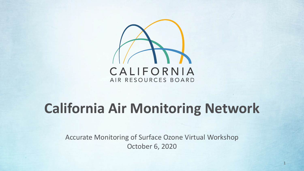

## **California Air Monitoring Network**

Accurate Monitoring of Surface Ozone Virtual Workshop October 6, 2020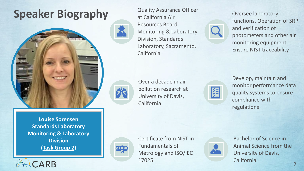### **Speaker Biography** Quality Assurance Officer



at California Air Resources Board Monitoring & Laboratory Division, Standards Laboratory, Sacramento, California

Oversee laboratory functions. Operation of SRP and verification of photometers and other air monitoring equipment. Ensure NIST traceability



Over a decade in air pollution research at University of Davis, California



Develop, maintain and monitor performance data quality systems to ensure compliance with regulations

**Monitoring & Laboratory Louise Sorensen Standards Laboratory Division (Task Group 2)**

CARB



Certificate from NIST in Fundamentals of Metrology and ISO/IEC 17025.



Bachelor of Science in Animal Science from the University of Davis, California.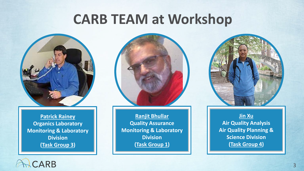## **CARB TEAM at Workshop**



**Monitoring & Laboratory Patrick Rainey Organics Laboratory Division (Task Group 3)**



**Monitoring & Laboratory | Council Air Quality Plannin Ranjit Bhullar Quality Assurance Division (Task Group 1)**



**Jin Xu Air Quality Analysis Air Quality Planning & Science Division (Task Group 4)**

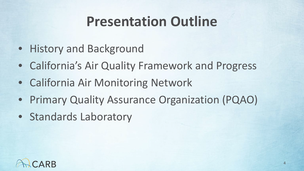## **Presentation Outline**

- History and Background
- California's Air Quality Framework and Progress
- California Air Monitoring Network
- Primary Quality Assurance Organization (PQAO)
- Standards Laboratory

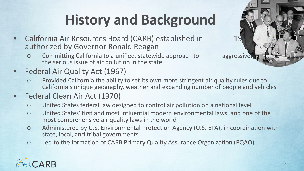# **History and Background**

- **California Air Resources Board (CARB) established in T19** authorized by Governor Ronald Reagan
	- Committing California to a unified, statewide approach to aggressively a the serious issue of air pollution in the state
- Federal Air Quality Act (1967)
	- Provided California the ability to set its own more stringent air quality rules due to California's unique geography, weather and expanding number of people and vehicles
- Federal Clean Air Act (1970)
	- o United States federal law designed to control air pollution on a national level
	- o United States' first and most influential modern environmental laws, and one of the most comprehensive air quality laws in the world
	- o Administered by U.S. Environmental Protection Agency (U.S. EPA), in coordination with state, local, and tribal governments
	- o Led to the formation of CARB Primary Quality Assurance Organization (PQAO)

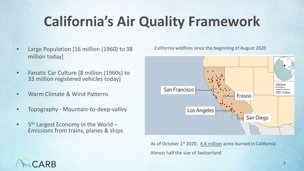# **California's Air Quality Framework**

- Large Population [16 million (1960) to 38 million today]
- Fanatic Car Culture [8 million (1960s) to 33 million registered vehicles today]
- Warm Climate & Wind Patterns
- Topography Mountain-to-deep-valley
- $5<sup>th</sup>$  Largest Economy in the World –<br>Emissions from trains, planes & ships

California wildfires since the beginning of August 2020



As of October 1<sup>st</sup> 2020, 4.4 million acres burned in California Almost half the size of Switzerland

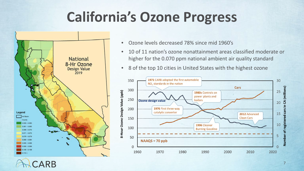## **California's Ozone Progress**



- Ozone levels decreased 78% since mid 1960's
- 10 of 11 nation's ozone nonattainment areas classified moderate or higher for the 0.070 ppm national ambient air quality standard
- 8 of the top 10 cities in United States with the highest ozone

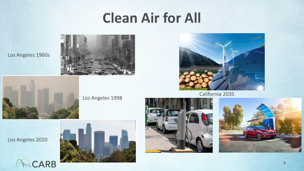## **Clean Air for All**



Los Angeles 1960s



**CARB** 

Los Angeles 1998



California 2035

Los Angeles 2020

 $\sqrt{2}$ 





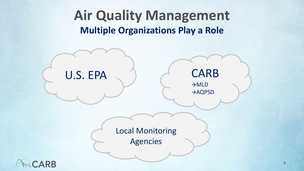## **Air Quality Management Multiple Organizations Play a Role**

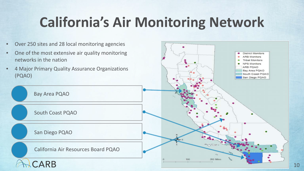# **California's Air Monitoring Network**

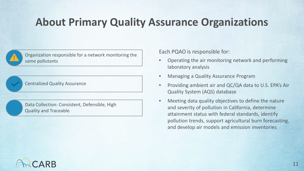#### **About Primary Quality Assurance Organizations**



Organization responsible for a network monitoring the same pollutants

Centralized Quality Assurance

Data Collection: Consistent, Defensible, High Quality and Traceable

Each PQAO is responsible for:

- Operating the air monitoring network and performing laboratory analysis
- Managing a Quality Assurance Program
- Providing ambient air and QC/QA data to U.S. EPA's Air Quality System (AQS) database
- Meeting data quality objectives to define the nature and severity of pollution in California, determine attainment status with federal standards, identify pollution trends, support agricultural burn forecasting, and develop air models and emission inventories

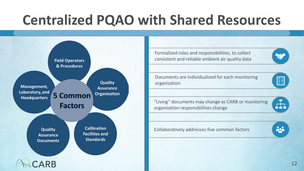## **Centralized PQAO with Shared Resources**



Formalized roles and responsibilities, to collect consistent and reliable ambient air quality data

Documents are individualized for each monitoring organization

"Living" documents may change as CARB or monitoring organization responsibilities change

Collaboratively addresses five common factors

Ā.

222

图

12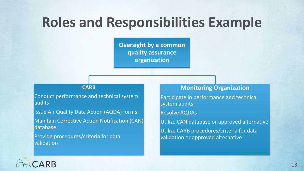## **Roles and Responsibilities Example**

**Oversight by a common quality assurance organization**

#### **CARB**

Conduct performance and technical system audits

Issue Air Quality Data Action (AQDA) forms

Maintain Corrective Action Notification (CAN) database

Provide procedures/criteria for data validation

#### **Monitoring Organization**

Participate in performance and technical system audits Resolve AQDAs Utilize CAN database or approved alternative Utilize CARB procedures/criteria for data validation or approved alternative

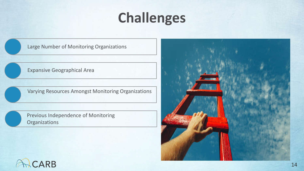## **Challenges**

Large Number of Monitoring Organizations

Expansive Geographical Area

Varying Resources Amongst Monitoring Organizations

Previous Independence of Monitoring **Organizations** 



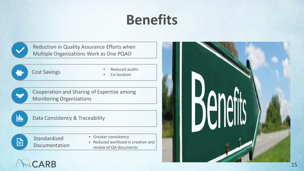## **Benefits**

Reduction in Quality Assurance Efforts when Multiple Organizations Work as One PQAO



• Reduced audits

• Co-location



Ш

Cooperation and Sharing of Expertise among Monitoring Organizations

Data Consistency & Traceability



Standardized Documentation

- Greater consistency
- Reduced workload in creation and review of QA documents

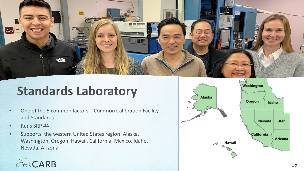

### **Standards Laboratory**

- One of the 5 common factors Common Calibration Facility and Standards
- Runs SRP #4
- Supports the western United States region: Alaska, Washington, Oregon, Hawaii, California, Mexico, Idaho, Nevada, Arizona